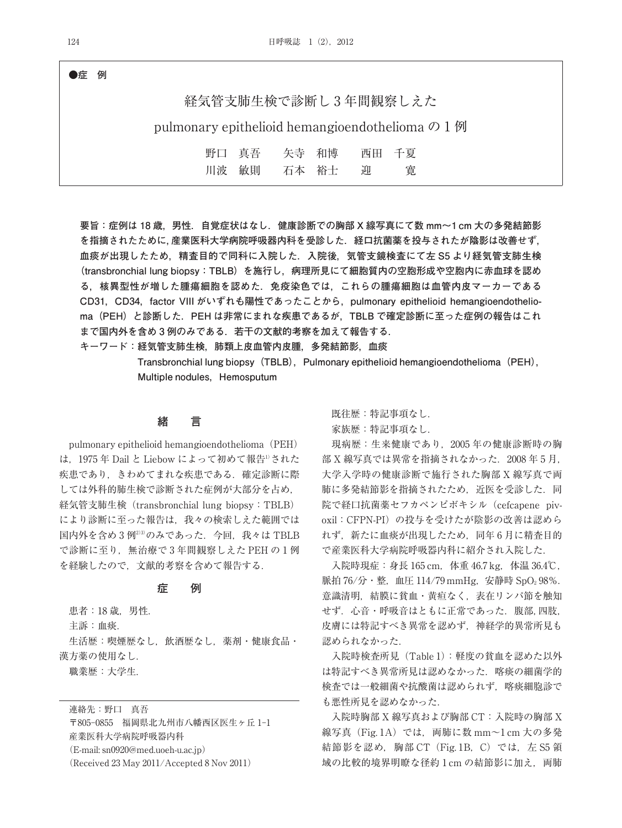### **●症 例**

# 経気管支肺生検で診断し 3 年間観察しえた

pulmonary epithelioid hemangioendothelioma の 1 例

| 野口 真吾 | 矢寺 和博 |   | 西田 千夏 |
|-------|-------|---|-------|
| 川波 敏則 | 石本 裕士 | 迎 | 寛     |

**要旨:症例は 18 歳,男性.自覚症状はなし.健康診断での胸部 X 線写真にて数 mm〜1 cm 大の多発結節影 を指摘されたために,産業医科大学病院呼吸器内科を受診した.経口抗菌薬を投与されたが陰影は改善せず, 血痰が出現したため,精査目的で同科に入院した.入院後,気管支鏡検査にて左 S5 より経気管支肺生検 (transbronchial lung biopsy:TBLB)を施行し,病理所見にて細胞質内の空胞形成や空胞内に赤血球を認め る,核異型性が増した腫瘍細胞を認めた.免疫染色では,これらの腫瘍細胞は血管内皮マーカーである CD31,CD34,factor VIII がいずれも陽性であったことから,pulmonary epithelioid hemangioendothelioma(PEH)と診断した.PEH は非常にまれな疾患であるが,TBLB で確定診断に至った症例の報告はこれ まで国内外を含め 3 例のみである.若干の文献的考察を加えて報告する.**

**キーワード:経気管支肺生検,肺類上皮血管内皮腫,多発結節影,血痰**

Transbronchial lung biopsy (TBLB), Pulmonary epithelioid hemangioendothelioma (PEH), **Multiple nodules, Hemosputum** 

### **緒 言**

pulmonary epithelioid hemangioendothelioma(PEH) は、1975年 Dail と Liebow によって初めて報告<sup>1)</sup>された 疾患であり、きわめてまれな疾患である. 確定診断に際 しては外科的肺生検で診断された症例が大部分を占め, 経気管支肺生検(transbronchial lung biopsy:TBLB) により診断に至った報告は,我々の検索しえた範囲では 国内外を含め3例233のみであった. 今回、我々は TBLB で診断に至り,無治療で 3 年間観察しえた PEH の 1 例 を経験したので,文献的考察を含めて報告する.

### **症 例**

患者:18歳, 男性. 主訴:血痰. 生活歴:喫煙歴なし、飲酒歴なし、薬剤・健康食品· 漢方薬の使用なし.

職業歴:大学生.

連絡先:野口 真吾

〒805-0855 福岡県北九州市八幡西区医生ヶ丘 1-1 産業医科大学病院呼吸器内科 (E-mail: sn0920@med.uoeh-u.ac.jp) (Received 23 May 2011/Accepted 8 Nov 2011)

既往歴:特記事項なし.

家族歴:特記事項なし.

現病歴:生来健康であり,2005 年の健康診断時の胸 部 X 線写真では異常を指摘されなかった. 2008年5月, 大学入学時の健康診断で施行された胸部 X 線写真で両 肺に多発結節影を指摘されたため、近医を受診した. 同 院で経口抗菌薬セフカペンピボキシル(cefcapene pivoxil: CFPN-PI)の投与を受けたが陰影の改善は認めら れず,新たに血痰が出現したため,同年 6 月に精査目的 で産業医科大学病院呼吸器内科に紹介され入院した.

入院時現症: 身長 165 cm, 体重 46.7 kg, 体温 36.4℃, 脈拍 76/分·整, 血圧 114/79 mmHg, 安静時 SpO<sub>2</sub> 98%. 意識清明,結膜に貧血・黄疸なく,表在リンパ節を触知 せず. 心音・呼吸音はともに正常であった. 腹部,四肢, 皮膚には特記すべき異常を認めず,神経学的異常所見も 認められなかった.

入院時検査所見(Table 1):軽度の貧血を認めた以外 は特記すべき異常所見は認めなかった.喀痰の細菌学的 検査では一般細菌や抗酸菌は認められず,喀痰細胞診で も悪性所見を認めなかった.

入院時胸部 X 線写真および胸部 CT:入院時の胸部 X 線写真 (Fig. 1A) では、両肺に数 mm~1 cm 大の多発 結節影を認め, 胸部 CT (Fig. 1B, C) では, 左 S5 領 域の比較的境界明瞭な径約 1 cm の結節影に加え, 両肺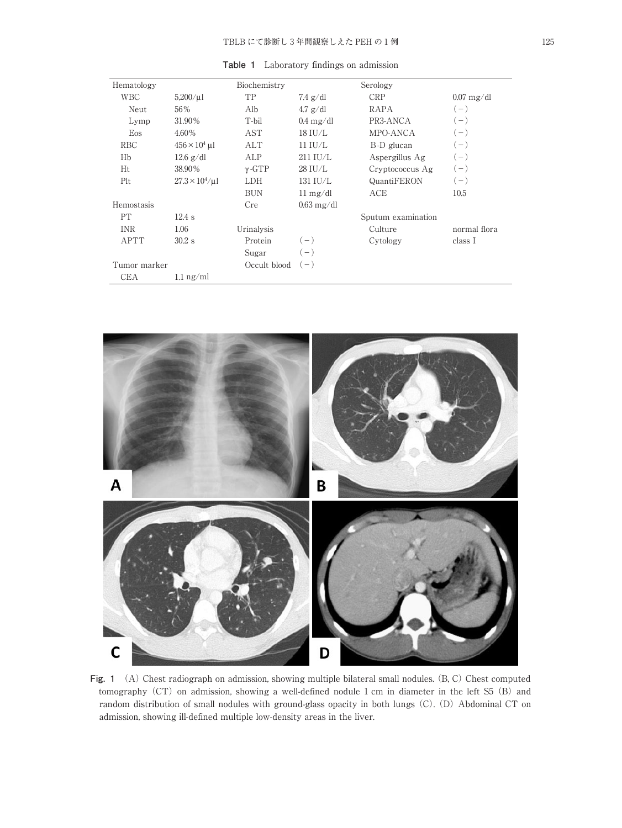| Hematology   |                              | Biochemistry  |                            | Serology           |              |
|--------------|------------------------------|---------------|----------------------------|--------------------|--------------|
| WBC          | $5,200/\mu$ 1                | TP            | $7.4$ g/dl                 | <b>CRP</b>         | $0.07$ mg/dl |
| Neut         | 56%                          | Alb           | $4.7$ g/dl                 | RAPA               | $(-)$        |
| Lymp         | 31.90%                       | T-bil         | $0.4 \text{ mg}/\text{dl}$ | PR3-ANCA           | $(-)$        |
| Eos          | 4.60%                        | AST           | $18$ IU/L                  | MPO-ANCA           | $(-)$        |
| <b>RBC</b>   | $456 \times 10^4$ µl         | ALT           | $11$ IU/L                  | B-D glucan         | $(-)$        |
| Hb           | $12.6$ g/dl                  | ALP           | $211$ IU/L                 | Aspergillus Ag     | $(-)$        |
| Ht           | 38.90%                       | $\gamma$ -GTP | 28 IU/L                    | Cryptococcus Ag    | $(-)$        |
| Plt          | $27.3 \times 10^{4} / \mu$ l | <b>LDH</b>    | $131$ IU/L                 | QuantiFERON        | $(-)$        |
|              |                              | <b>BUN</b>    | $11 \text{ mg/dl}$         | ACE                | 10.5         |
| Hemostasis   |                              | Cre           | $0.63 \text{ mg/dl}$       |                    |              |
| PT           | $12.4$ s                     |               |                            | Sputum examination |              |
| <b>INR</b>   | 1.06                         | Urinalysis    |                            | Culture            | normal flora |
| <b>APTT</b>  | $30.2$ s                     | Protein       | $(-)$                      | Cytology           | class I      |
|              |                              | Sugar         | $(-)$                      |                    |              |
| Tumor marker |                              | Occult blood  | $(-)$                      |                    |              |
| CEA          | $1.1 \text{ ng/ml}$          |               |                            |                    |              |

**Table 1** Laboratory findings on admission



**Fig. 1** (A) Chest radiograph on admission, showing multiple bilateral small nodules. (B, C) Chest computed tomography (CT) on admission, showing a well-defined nodule 1 cm in diameter in the left S5 (B) and random distribution of small nodules with ground-glass opacity in both lungs (C). (D) Abdominal CT on admission, showing ill-defined multiple low-density areas in the liver.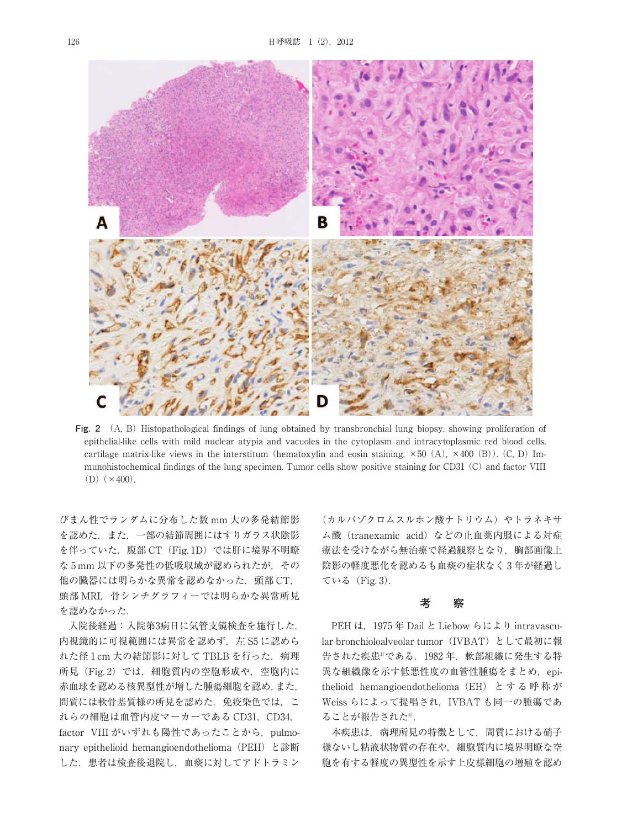

**Fig. 2** (A, B) Histopathological findings of lung obtained by transbronchial lung biopsy, showing proliferation of epithelial-like cells with mild nuclear atypia and vacuoles in the cytoplasm and intracytoplasmic red blood cells, cartilage matrix-like views in the interstitum (hematoxylin and eosin staining,  $\times 50$  (A),  $\times 400$  (B)). (C, D) Immunohistochemical findings of the lung specimen. Tumor cells show positive staining for CD31 (C) and factor VIII  $(D)$   $(\times 400)$ .

びまん性でランダムに分布した数 mm 大の多発結節影 を認めた.また,一部の結節周囲にはすりガラス状陰影 を伴っていた. 腹部 CT (Fig. 1D) では肝に境界不明瞭 な 5 mm 以下の多発性の低吸収域が認められたが,その 他の臓器には明らかな異常を認めなかった.頭部 CT, 頭部 MRI, 骨シンチグラフィーでは明らかな異常所見 を認めなかった.

入院後経過:入院第3病日に気管支鏡検査を施行した. 内視鏡的に可視範囲には異常を認めず, 左 S5 に認めら れた径 1 cm 大の結節影に対して TBLB を行った. 病理 所見(Fig. 2)では、細胞質内の空胞形成や、空胞内に 赤血球を認める核異型性が増した腫瘍細胞を認め,また, 間質には軟骨基質様の所見を認めた.免疫染色では,こ れらの細胞は血管内皮マーカーである CD31, CD34, factor VIII がいずれも陽性であったことから, pulmonary epithelioid hemangioendothelioma (PEH) と診断 した.患者は検査後退院し,血痰に対してアドトラミン

(カルバゾクロムスルホン酸ナトリウム)やトラネキサ ム酸 (tranexamic acid) などの止血薬内服による対症 療法を受けながら無治療で経過観察となり、胸部画像上 陰影の軽度悪化を認めるも血痰の症状なく 3 年が経過し ている(Fig. 3).

#### **考 察**

PEH は, 1975 年 Dail と Liebow らにより intravascular bronchioloalveolar tumor(IVBAT)として最初に報 告された疾患<sup>1</sup>である. 1982年, 軟部組織に発生する特 異な組織像を示す低悪性度の血管性腫瘍をまとめ、epithelioid hemangioendothelioma(EH) と す る 呼 称 が Weiss らによって提唱され,IVBAT も同一の腫瘍であ ることが報告された4).

本疾患は,病理所見の特徴として,間質における硝子 様ないし粘液状物質の存在や,細胞質内に境界明瞭な空 胞を有する軽度の異型性を示す上皮様細胞の増殖を認め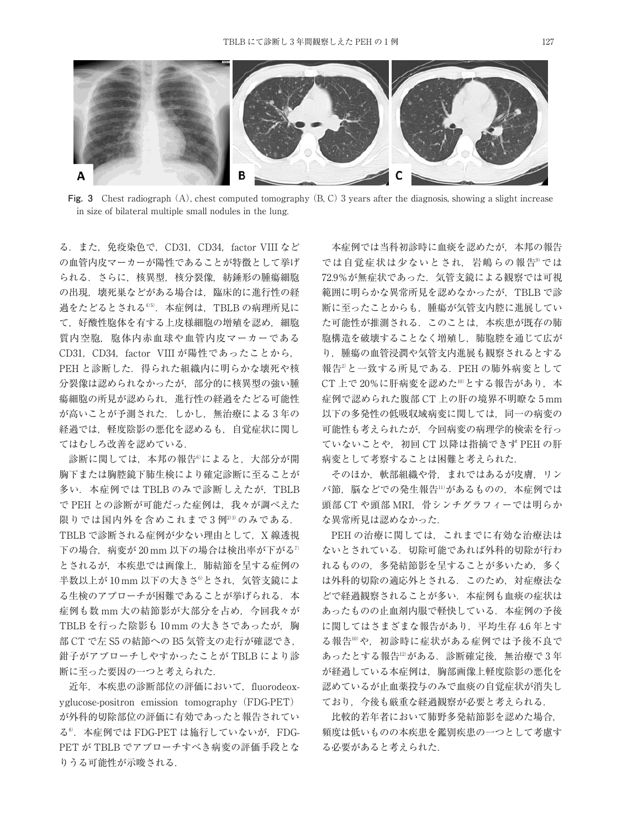

**Fig. 3** Chest radiograph (A), chest computed tomography (B, C) 3 years after the diagnosis, showing a slight increase in size of bilateral multiple small nodules in the lung.

る.また,免疫染色で,CD31,CD34,factor VIII など の血管内皮マーカーが陽性であることが特徴として挙げ られる.さらに,核異型,核分裂像,紡錘形の腫瘍細胞 の出現、壊死巣などがある場合は、臨床的に進行性の経 過をたどるとされる4)5).本症例は,TBLB の病理所見に て,好酸性胞体を有する上皮様細胞の増殖を認め,細胞 質内空胞,胞体内赤血球や血管内皮マーカーである CD31, CD34, factor VIII が陽性であったことから, PEH と診断した. 得られた組織内に明らかな壊死や核 分裂像は認められなかったが,部分的に核異型の強い腫 瘍細胞の所見が認められ,進行性の経過をたどる可能性 が高いことが予測された.しかし,無治療による 3 年の 経過では、軽度陰影の悪化を認めるも、自覚症状に関し てはむしろ改善を認めている.

診断に関しては,本邦の報告6)によると,大部分が開 胸下または胸腔鏡下肺生検により確定診断に至ることが 多い. 本症例では TBLB のみで診断しえたが. TBLB で PEH との診断が可能だった症例は,我々が調べえた 限りでは国内外を含めこれまで3例2)3)のみである. TBLB で診断される症例が少ない理由として、X 線透視 下の場合,病変が 20 mm 以下の場合は検出率が下がる<sup>7</sup> とされるが,本疾患では画像上,肺結節を呈する症例の 半数以上が 10 mm 以下の大きさ<sup>6)</sup>とされ、気管支鏡によ る生検のアプローチが困難であることが挙げられる. 本 症例も数 mm 大の結節影が大部分を占め,今回我々が TBLB を行った陰影も 10 mm の大きさであったが,胸 部 CT で左 S5 の結節への B5 気管支の走行が確認でき, 鉗子がアプローチしやすかったことが TBLB により診 断に至った要因の一つと考えられた.

近年,本疾患の診断部位の評価において、fluorodeoxyglucose-positron emission tomography(FDG-PET) が外科的切除部位の評価に有効であったと報告されてい る<sup>8</sup>. 本症例では FDG-PET は施行していないが、FDG-PET が TBLB でアプローチすべき病変の評価手段とな りうる可能性が示唆される.

本症例では当科初診時に血痰を認めたが,本邦の報告 では自覚症状は少ないとされ、岩嶋らの報告9では 72.9%が無症状であった.気管支鏡による観察では可視 範囲に明らかな異常所見を認めなかったが,TBLB で診 断に至ったことからも,腫瘍が気管支内腔に進展してい た可能性が推測される.このことは,本疾患が既存の肺 胞構造を破壊することなく増殖し,肺胞腔を通じて広が り,腫瘍の血管浸潤や気管支内進展も観察されるとする 報告<sup>2</sup>と一致する所見である. PEH の肺外病変として CT 上で20%に肝病変を認めた10)とする報告があり. 本 症例で認められた腹部 CT 上の肝の境界不明瞭な 5 mm 以下の多発性の低吸収域病変に関しては,同一の病変の 可能性も考えられたが,今回病変の病理学的検索を行っ ていないことや,初回 CT 以降は指摘できず PEH の肝 病変として考察することは困難と考えられた.

そのほか, 軟部組織や骨, まれではあるが皮膚, リン パ節, 脳などでの発生報告11)があるものの、本症例では 頭部 CT や頭部 MRI, 骨シンチグラフィーでは明らか な異常所見は認めなかった.

PEH の治療に関しては,これまでに有効な治療法は ないとされている.切除可能であれば外科的切除が行わ れるものの,多発結節影を呈することが多いため,多く は外科的切除の適応外とされる.このため,対症療法な どで経過観察されることが多い.本症例も血痰の症状は あったものの止血剤内服で軽快している.本症例の予後 に関してはさまざまな報告があり,平均生存 4.6 年とす る報告10や、初診時に症状がある症例では予後不良で あったとする報告12)がある. 診断確定後、無治療で3年 が経過している本症例は,胸部画像上軽度陰影の悪化を 認めているが止血薬投与のみで血痰の自覚症状が消失し ており,今後も厳重な経過観察が必要と考えられる.

比較的若年者において肺野多発結節影を認めた場合, 頻度は低いものの本疾患を鑑別疾患の一つとして考慮す る必要があると考えられた.